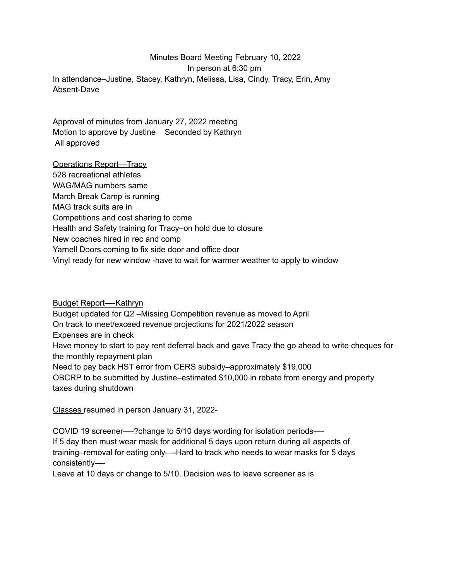## Minutes Board Meeting February 10, 2022 In person at 6:30 pm In attendance–Justine, Stacey, Kathryn, Melissa, Lisa, Cindy, Tracy, Erin, Amy Absent-Dave

Approval of minutes from January 27, 2022 meeting Motion to approve by Justine Seconded by Kathryn All approved

Operations Report—Tracy 528 recreational athletes WAG/MAG numbers same March Break Camp is running MAG track suits are in Competitions and cost sharing to come Health and Safety training for Tracy–on hold due to closure New coaches hired in rec and comp Yarnell Doors coming to fix side door and office door Vinyl ready for new window -have to wait for warmer weather to apply to window

Budget Report—-Kathryn Budget updated for Q2 –Missing Competition revenue as moved to April On track to meet/exceed revenue projections for 2021/2022 season Expenses are in check Have money to start to pay rent deferral back and gave Tracy the go ahead to write cheques for the monthly repayment plan Need to pay back HST error from CERS subsidy–approximately \$19,000 OBCRP to be submitted by Justine–estimated \$10,000 in rebate from energy and property taxes during shutdown

Classes resumed in person January 31, 2022-

COVID 19 screener—-?change to 5/10 days wording for isolation periods—- If 5 day then must wear mask for additional 5 days upon return during all aspects of training–removal for eating only—-Hard to track who needs to wear masks for 5 days consistently—-

Leave at 10 days or change to 5/10. Decision was to leave screener as is